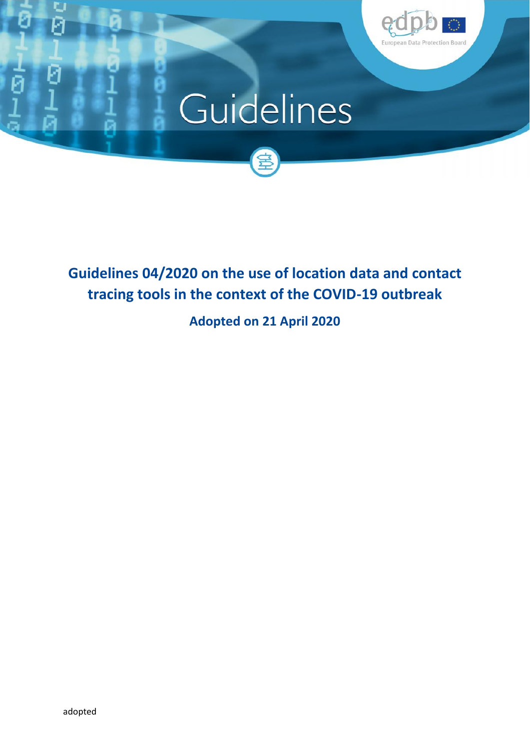

# Guidelines



# **Guidelines 04/2020 on the use of location data and contact tracing tools in the context of the COVID-19 outbreak**

**Adopted on 21 April 2020**

G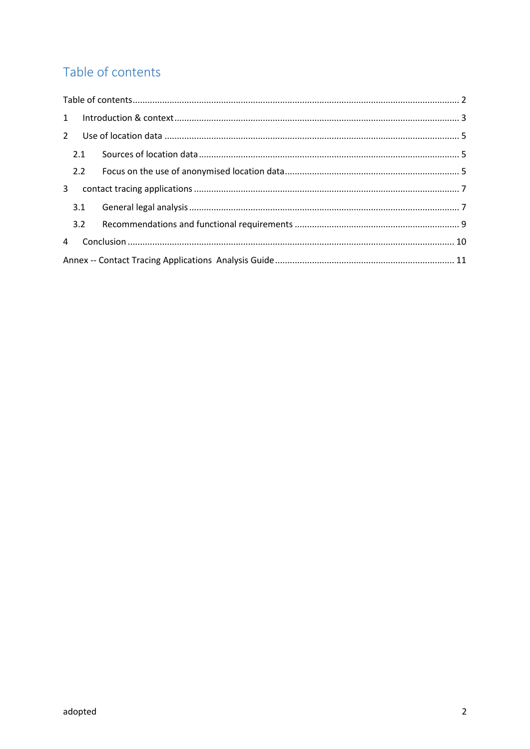# Table of contents

| $\overline{2}$ |  |
|----------------|--|
| 2.1            |  |
| 2.2            |  |
| 3 <sup>1</sup> |  |
| 3.1            |  |
| 3.2            |  |
| $\overline{4}$ |  |
|                |  |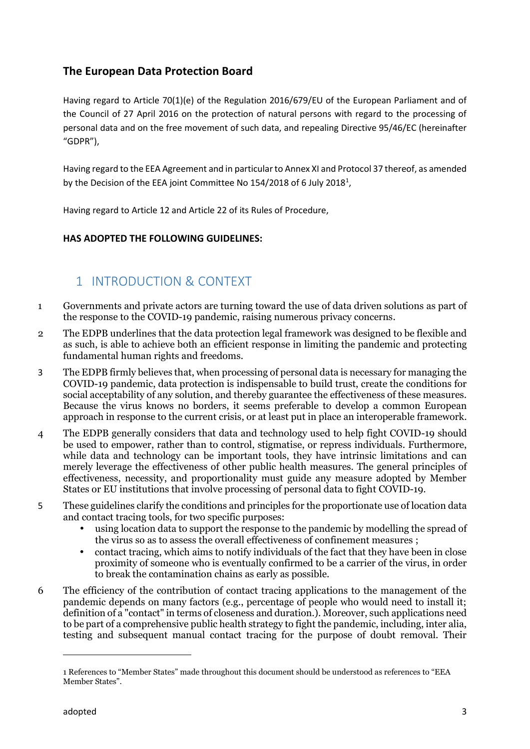## **The European Data Protection Board**

Having regard to Article 70(1)(e) of the Regulation 2016/679/EU of the European Parliament and of the Council of 27 April 2016 on the protection of natural persons with regard to the processing of personal data and on the free movement of such data, and repealing Directive 95/46/EC (hereinafter "GDPR"),

Having regard to the EEA Agreement and in particular to Annex XI and Protocol 37 thereof, as amended by the Decision of the EEA joint Committee No 154/2018 of 6 July 2018<sup>1</sup>,

Having regard to Article 12 and Article 22 of its Rules of Procedure,

## **HAS ADOPTED THE FOLLOWING GUIDELINES:**

# 1 INTRODUCTION & CONTEXT

- 1 Governments and private actors are turning toward the use of data driven solutions as part of the response to the COVID-19 pandemic, raising numerous privacy concerns.
- 2 The EDPB underlines that the data protection legal framework was designed to be flexible and as such, is able to achieve both an efficient response in limiting the pandemic and protecting fundamental human rights and freedoms.
- 3 The EDPB firmly believes that, when processing of personal data is necessary for managing the COVID-19 pandemic, data protection is indispensable to build trust, create the conditions for social acceptability of any solution, and thereby guarantee the effectiveness of these measures. Because the virus knows no borders, it seems preferable to develop a common European approach in response to the current crisis, or at least put in place an interoperable framework.
- 4 The EDPB generally considers that data and technology used to help fight COVID-19 should be used to empower, rather than to control, stigmatise, or repress individuals. Furthermore, while data and technology can be important tools, they have intrinsic limitations and can merely leverage the effectiveness of other public health measures. The general principles of effectiveness, necessity, and proportionality must guide any measure adopted by Member States or EU institutions that involve processing of personal data to fight COVID-19.
- 5 These guidelines clarify the conditions and principles for the proportionate use of location data and contact tracing tools, for two specific purposes:
	- using location data to support the response to the pandemic by modelling the spread of the virus so as to assess the overall effectiveness of confinement measures ;
	- contact tracing, which aims to notify individuals of the fact that they have been in close proximity of someone who is eventually confirmed to be a carrier of the virus, in order to break the contamination chains as early as possible.
- 6 The efficiency of the contribution of contact tracing applications to the management of the pandemic depends on many factors (e.g., percentage of people who would need to install it; definition of a "contact" in terms of closeness and duration.). Moreover, such applications need to be part of a comprehensive public health strategy to fight the pandemic, including, inter alia, testing and subsequent manual contact tracing for the purpose of doubt removal. Their

<sup>1</sup> References to "Member States" made throughout this document should be understood as references to "EEA Member States".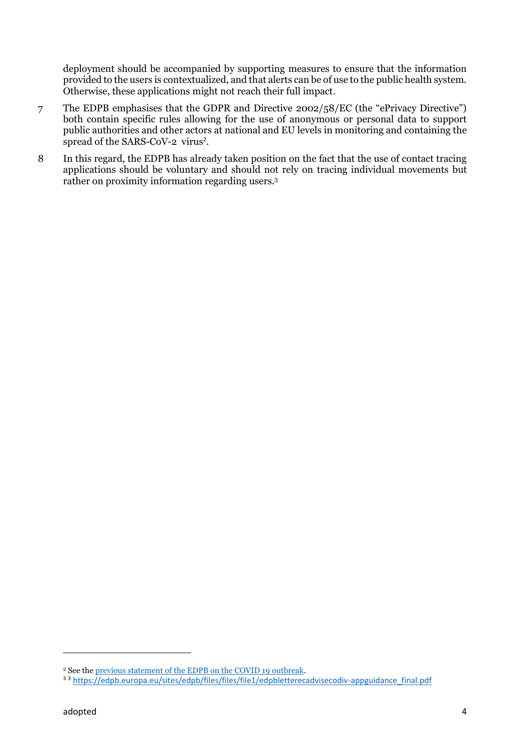deployment should be accompanied by supporting measures to ensure that the information provided to the users is contextualized, and that alerts can be of use to the public health system. Otherwise, these applications might not reach their full impact.

- 7 The EDPB emphasises that the GDPR and Directive 2002/58/EC (the "ePrivacy Directive") both contain specific rules allowing for the use of anonymous or personal data to support public authorities and other actors at national and EU levels in monitoring and containing the spread of the SARS-CoV-2 virus<sup>2</sup>.
- 8 In this regard, the EDPB has already taken position on the fact that the use of contact tracing applications should be voluntary and should not rely on tracing individual movements but rather on proximity information regarding users.<sup>3</sup>

<sup>2</sup> See the previous statement of the EDPB on the COVID 19 outbreak.

<sup>3 3</sup> https://edpb.europa.eu/sites/edpb/files/files/file1/edpbletterecadvisecodiv-appguidance\_final.pdf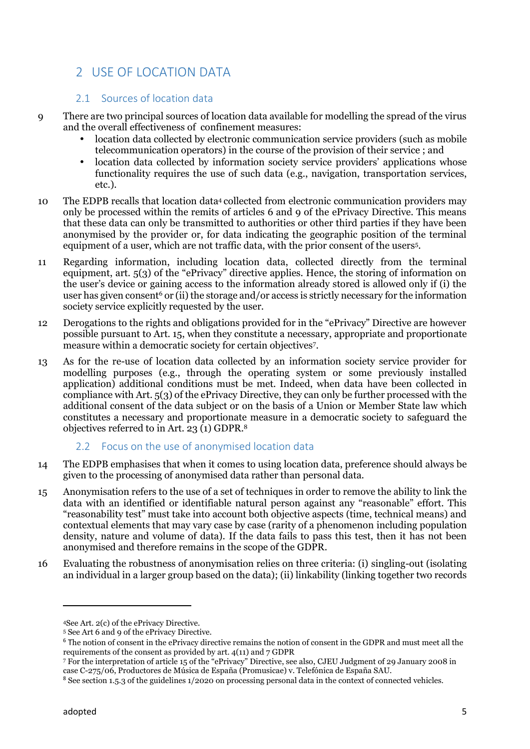# 2 USE OF LOCATION DATA

## 2.1 Sources of location data

- 9 There are two principal sources of location data available for modelling the spread of the virus and the overall effectiveness of confinement measures:
	- location data collected by electronic communication service providers (such as mobile telecommunication operators) in the course of the provision of their service ; and
	- l location data collected by information society service providers' applications whose functionality requires the use of such data (e.g., navigation, transportation services, etc.).
- 10 The EDPB recalls that location data<sup>4</sup> collected from electronic communication providers may only be processed within the remits of articles 6 and 9 of the ePrivacy Directive. This means that these data can only be transmitted to authorities or other third parties if they have been anonymised by the provider or, for data indicating the geographic position of the terminal equipment of a user, which are not traffic data, with the prior consent of the users<sup>5</sup> .
- 11 Regarding information, including location data, collected directly from the terminal equipment, art. 5(3) of the "ePrivacy" directive applies. Hence, the storing of information on the user's device or gaining access to the information already stored is allowed only if (i) the user has given consent<sup>6</sup> or (ii) the storage and/or access is strictly necessary for the information society service explicitly requested by the user.
- 12 Derogations to the rights and obligations provided for in the "ePrivacy" Directive are however possible pursuant to Art. 15, when they constitute a necessary, appropriate and proportionate measure within a democratic society for certain objectives<sup>7</sup> .
- 13 As for the re-use of location data collected by an information society service provider for modelling purposes (e.g., through the operating system or some previously installed application) additional conditions must be met. Indeed, when data have been collected in compliance with Art. 5(3) of the ePrivacy Directive, they can only be further processed with the additional consent of the data subject or on the basis of a Union or Member State law which constitutes a necessary and proportionate measure in a democratic society to safeguard the objectives referred to in Art. 23 (1) GDPR.<sup>8</sup>

## 2.2 Focus on the use of anonymised location data

- 14 The EDPB emphasises that when it comes to using location data, preference should always be given to the processing of anonymised data rather than personal data.
- 15 Anonymisation refers to the use of a set of techniques in order to remove the ability to link the data with an identified or identifiable natural person against any "reasonable" effort. This "reasonability test" must take into account both objective aspects (time, technical means) and contextual elements that may vary case by case (rarity of a phenomenon including population density, nature and volume of data). If the data fails to pass this test, then it has not been anonymised and therefore remains in the scope of the GDPR.
- 16 Evaluating the robustness of anonymisation relies on three criteria: (i) singling-out (isolating an individual in a larger group based on the data); (ii) linkability (linking together two records

<sup>4</sup>See Art. 2(c) of the ePrivacy Directive.

<sup>5</sup> See Art 6 and 9 of the ePrivacy Directive.

<sup>6</sup> The notion of consent in the ePrivacy directive remains the notion of consent in the GDPR and must meet all the requirements of the consent as provided by art. 4(11) and 7 GDPR

<sup>7</sup> For the interpretation of article 15 of the "ePrivacy" Directive, see also, CJEU Judgment of 29 January 2008 in case C-275/06, Productores de Música de España (Promusicae) v. Telefónica de España SAU.

<sup>&</sup>lt;sup>8</sup> See section 1.5.3 of the guidelines 1/2020 on processing personal data in the context of connected vehicles.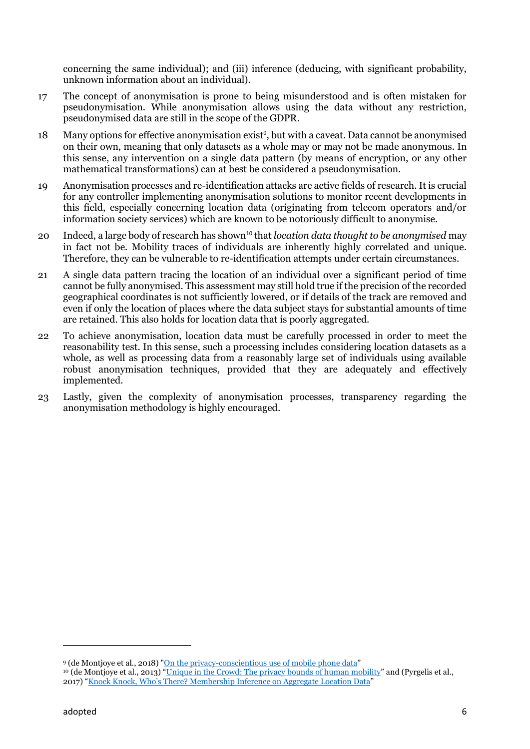concerning the same individual); and (iii) inference (deducing, with significant probability, unknown information about an individual).

- 17 The concept of anonymisation is prone to being misunderstood and is often mistaken for pseudonymisation. While anonymisation allows using the data without any restriction, pseudonymised data are still in the scope of the GDPR.
- 18 Many options for effective anonymisation exist<sup>9</sup>, but with a caveat. Data cannot be anonymised on their own, meaning that only datasets as a whole may or may not be made anonymous. In this sense, any intervention on a single data pattern (by means of encryption, or any other mathematical transformations) can at best be considered a pseudonymisation.
- 19 Anonymisation processes and re-identification attacks are active fields of research. It is crucial for any controller implementing anonymisation solutions to monitor recent developments in this field, especially concerning location data (originating from telecom operators and/or information society services) which are known to be notoriously difficult to anonymise.
- 20 Indeed, a large body of research has shown <sup>10</sup> that *location data thought to be anonymised* may in fact not be. Mobility traces of individuals are inherently highly correlated and unique. Therefore, they can be vulnerable to re-identification attempts under certain circumstances.
- 21 A single data pattern tracing the location of an individual over a significant period of time cannot be fully anonymised. This assessment may still hold true if the precision of the recorded geographical coordinates is not sufficiently lowered, or if details of the track are removed and even if only the location of places where the data subject stays for substantial amounts of time are retained. This also holds for location data that is poorly aggregated.
- 22 To achieve anonymisation, location data must be carefully processed in order to meet the reasonability test. In this sense, such a processing includes considering location datasets as a whole, as well as processing data from a reasonably large set of individuals using available robust anonymisation techniques, provided that they are adequately and effectively implemented.
- 23 Lastly, given the complexity of anonymisation processes, transparency regarding the anonymisation methodology is highly encouraged.

<sup>9</sup> (de Montjoye et al., 2018) "On the privacy-conscientious use of mobile phone data"

<sup>10</sup> (de Montjoye et al., 2013) "Unique in the Crowd: The privacy bounds of human mobility" and (Pyrgelis et al., 2017) "Knock Knock, Who's There? Membership Inference on Aggregate Location Data"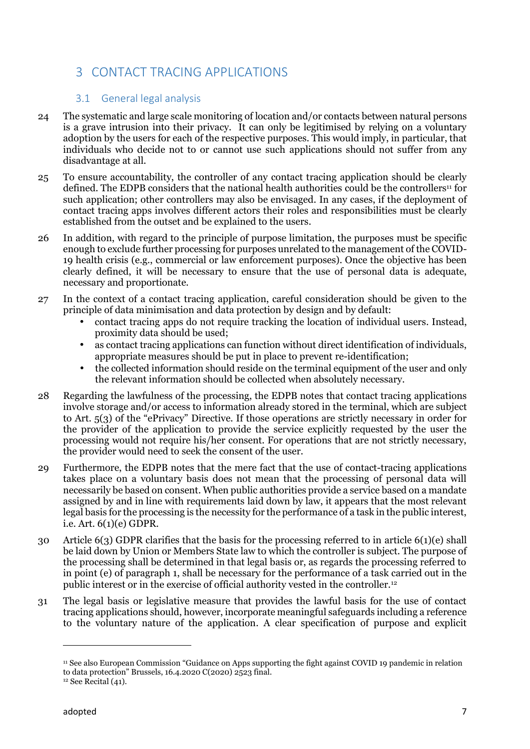# 3 CONTACT TRACING APPLICATIONS

## 3.1 General legal analysis

- 24 The systematic and large scale monitoring of location and/or contacts between natural persons is a grave intrusion into their privacy. It can only be legitimised by relying on a voluntary adoption by the users for each of the respective purposes. This would imply, in particular, that individuals who decide not to or cannot use such applications should not suffer from any disadvantage at all.
- 25 To ensure accountability, the controller of any contact tracing application should be clearly defined. The EDPB considers that the national health authorities could be the controllers<sup>11</sup> for such application; other controllers may also be envisaged. In any cases, if the deployment of contact tracing apps involves different actors their roles and responsibilities must be clearly established from the outset and be explained to the users.
- 26 In addition, with regard to the principle of purpose limitation, the purposes must be specific enough to exclude further processing for purposes unrelated to the management of the COVID- 19 health crisis (e.g., commercial or law enforcement purposes). Once the objective has been clearly defined, it will be necessary to ensure that the use of personal data is adequate, necessary and proportionate.
- 27 In the context of a contact tracing application, careful consideration should be given to the principle of data minimisation and data protection by design and by default:
	- contact tracing apps do not require tracking the location of individual users. Instead, proximity data should be used;
	- as contact tracing applications can function without direct identification of individuals, appropriate measures should be put in place to prevent re-identification;
	- $\parallel$  the collected information should reside on the terminal equipment of the user and only the relevant information should be collected when absolutely necessary.
- 28 Regarding the lawfulness of the processing, the EDPB notes that contact tracing applications involve storage and/or access to information already stored in the terminal, which are subject to Art. 5(3) of the "ePrivacy" Directive. If those operations are strictly necessary in order for the provider of the application to provide the service explicitly requested by the user the processing would not require his/her consent. For operations that are not strictly necessary, the provider would need to seek the consent of the user.
- 29 Furthermore, the EDPB notes that the mere fact that the use of contact-tracing applications takes place on a voluntary basis does not mean that the processing of personal data will necessarily be based on consent. When public authorities provide a service based on a mandate assigned by and in line with requirements laid down by law, it appears that the most relevant legal basis for the processing is the necessity for the performance of a task in the public interest, i.e. Art. 6(1)(e) GDPR.
- 30 Article 6(3) GDPR clarifies that the basis for the processing referred to in article 6(1)(e) shall be laid down by Union or Members State law to which the controller is subject. The purpose of the processing shall be determined in that legal basis or, as regards the processing referred to in point (e) of paragraph 1, shall be necessary for the performance of a task carried out in the public interest or in the exercise of official authority vested in the controller.<sup>12</sup>
- 31 The legal basis or legislative measure that provides the lawful basis for the use of contact tracing applications should, however, incorporate meaningful safeguards including a reference to the voluntary nature of the application. A clear specification of purpose and explicit

<sup>11</sup> See also European Commission "Guidance on Apps supporting the fight against COVID 19 pandemic in relation to data protection" Brussels, 16.4.2020 C(2020) 2523 final.

 $12$  See Recital (41).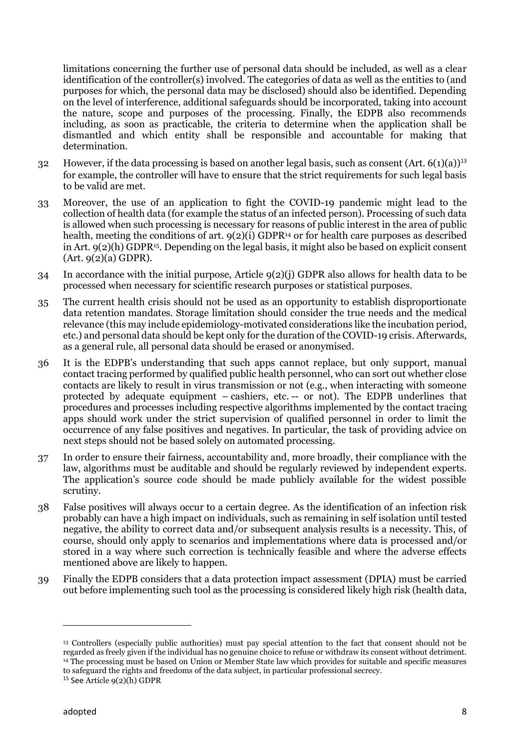limitations concerning the further use of personal data should be included, as well as a clear identification of the controller(s) involved. The categories of data as well as the entities to (and purposes for which, the personal data may be disclosed) should also be identified. Depending on the level of interference, additional safeguards should be incorporated, taking into account the nature, scope and purposes of the processing. Finally, the EDPB also recommends including, as soon as practicable, the criteria to determine when the application shall be dismantled and which entity shall be responsible and accountable for making that determination.

- 32 However, if the data processing is based on another legal basis, such as consent (Art. 6(1)(a))<sup>13</sup> for example, the controller will have to ensure that the strict requirements for such legal basis to be valid are met.
- 33 Moreover, the use of an application to fight the COVID-19 pandemic might lead to the collection of health data (for example the status of an infected person). Processing of such data is allowed when such processing is necessary for reasons of public interest in the area of public health, meeting the conditions of art.  $9(2)(i)$  GDPR<sup>14</sup> or for health care purposes as described in Art.  $9(2)(h)$  GDPR<sup>15</sup>. Depending on the legal basis, it might also be based on explicit consent (Art. 9(2)(a) GDPR).
- 34 In accordance with the initial purpose, Article 9(2)(j) GDPR also allows for health data to be processed when necessary for scientific research purposes or statistical purposes.
- 35 The current health crisis should not be used as an opportunity to establish disproportionate data retention mandates. Storage limitation should consider the true needs and the medical relevance (this may include epidemiology-motivated considerations like the incubation period, etc.) and personal data should be kept only for the duration of the COVID-19 crisis. Afterwards, as a general rule, all personal data should be erased or anonymised.
- 36 It is the EDPB's understanding that such apps cannot replace, but only support, manual contact tracing performed by qualified public health personnel, who can sort out whether close contacts are likely to result in virus transmission or not (e.g., when interacting with someone protected by adequate equipment – cashiers, etc. -- or not). The EDPB underlines that procedures and processes including respective algorithms implemented by the contact tracing apps should work under the strict supervision of qualified personnel in order to limit the occurrence of any false positives and negatives. In particular, the task of providing advice on next steps should not be based solely on automated processing.
- 37 In order to ensure their fairness, accountability and, more broadly, their compliance with the law, algorithms must be auditable and should be regularly reviewed by independent experts. The application's source code should be made publicly available for the widest possible scrutiny.
- 38 False positives will always occur to a certain degree. As the identification of an infection risk probably can have a high impact on individuals, such as remaining in self isolation until tested negative, the ability to correct data and/or subsequent analysis results is a necessity. This, of course, should only apply to scenarios and implementations where data is processed and/or stored in a way where such correction is technically feasible and where the adverse effects mentioned above are likely to happen.
- 39 Finally the EDPB considers that a data protection impact assessment (DPIA) must be carried out before implementing such tool as the processing is considered likely high risk (health data,

<sup>13</sup> Controllers (especially public authorities) must pay special attention to the fact that consent should not be regarded as freely given if the individual has no genuine choice to refuse or withdraw its consent without detriment. <sup>14</sup> The processing must be based on Union or Member State law which provides for suitable and specific measures to safeguard the rights and freedoms of the data subject, in particular professional secrecy.

 $15$  See Article  $9(2)(h)$  GDPR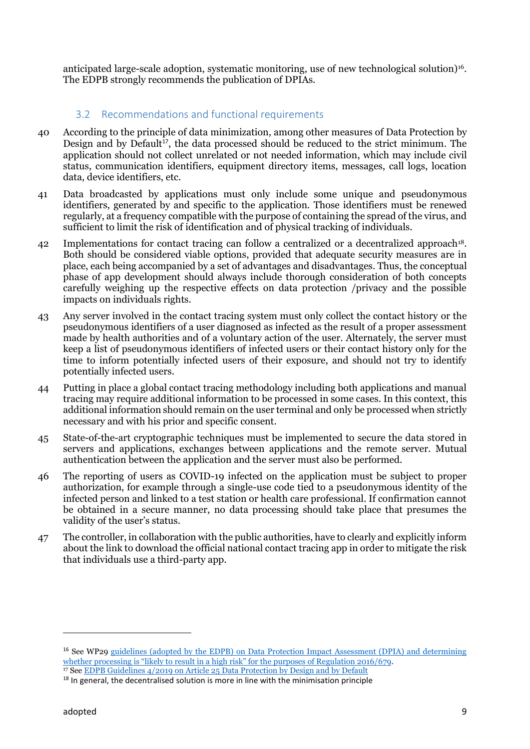anticipated large-scale adoption, systematic monitoring, use of new technological solution)16. The EDPB strongly recommends the publication of DPIAs.

## 3.2 Recommendations and functional requirements

- 40 According to the principle of data minimization, among other measures of Data Protection by Design and by Default<sup>17</sup>, the data processed should be reduced to the strict minimum. The application should not collect unrelated or not needed information, which may include civil status, communication identifiers, equipment directory items, messages, call logs, location data, device identifiers, etc.
- 41 Data broadcasted by applications must only include some unique and pseudonymous identifiers, generated by and specific to the application. Those identifiers must be renewed regularly, at a frequency compatible with the purpose of containing the spread of the virus, and sufficient to limit the risk of identification and of physical tracking of individuals.
- 42 Implementations for contact tracing can follow a centralized or a decentralized approach<sup>18</sup>. Both should be considered viable options, provided that adequate security measures are in place, each being accompanied by a set of advantages and disadvantages. Thus, the conceptual phase of app development should always include thorough consideration of both concepts carefully weighing up the respective effects on data protection /privacy and the possible impacts on individuals rights.
- 43 Any server involved in the contact tracing system must only collect the contact history or the pseudonymous identifiers of a user diagnosed as infected as the result of a proper assessment made by health authorities and of a voluntary action of the user. Alternately, the server must keep a list of pseudonymous identifiers of infected users or their contact history only for the time to inform potentially infected users of their exposure, and should not try to identify potentially infected users.
- 44 Putting in place a global contact tracing methodology including both applications and manual tracing may require additional information to be processed in some cases. In this context, this additional information should remain on the user terminal and only be processed when strictly necessary and with his prior and specific consent.
- 45 State-of-the-art cryptographic techniques must be implemented to secure the data stored in servers and applications, exchanges between applications and the remote server. Mutual authentication between the application and the server must also be performed.
- 46 The reporting of users as COVID-19 infected on the application must be subject to proper authorization, for example through a single-use code tied to a pseudonymous identity of the infected person and linked to a test station or health care professional. If confirmation cannot be obtained in a secure manner, no data processing should take place that presumes the validity of the user's status.
- 47 The controller, in collaboration with the public authorities, have to clearly and explicitly inform about the link to download the official national contact tracing app in order to mitigate the risk that individuals use a third-party app.

<sup>16</sup> See WP29 guidelines (adopted by the EDPB) on Data Protection Impact Assessment (DPIA) and determining whether processing is "likely to result in a high risk" for the purposes of Regulation 2016/679. <sup>17</sup> See EDPB Guidelines 4/2019 on Article 25 Data Protection by Design and by Default

 $18$  In general, the decentralised solution is more in line with the minimisation principle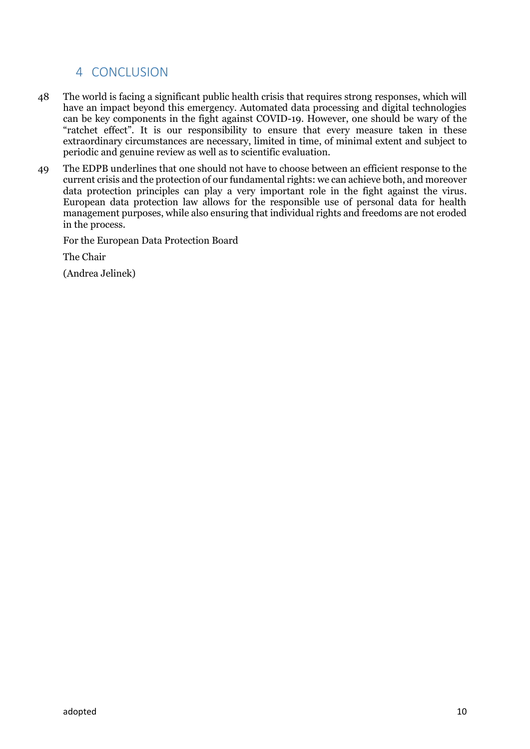## 4 CONCLUSION

- 48 The world is facing a significant public health crisis that requires strong responses, which will have an impact beyond this emergency. Automated data processing and digital technologies can be key components in the fight against COVID-19. However, one should be wary of the "ratchet effect". It is our responsibility to ensure that every measure taken in these extraordinary circumstances are necessary, limited in time, of minimal extent and subject to periodic and genuine review as well as to scientific evaluation.
- 49 The EDPB underlines that one should not have to choose between an efficient response to the current crisis and the protection of our fundamental rights: we can achieve both, and moreover data protection principles can play a very important role in the fight against the virus. European data protection law allows for the responsible use of personal data for health management purposes, while also ensuring that individual rights and freedoms are not eroded in the process.

For the European Data Protection Board

The Chair

(Andrea Jelinek)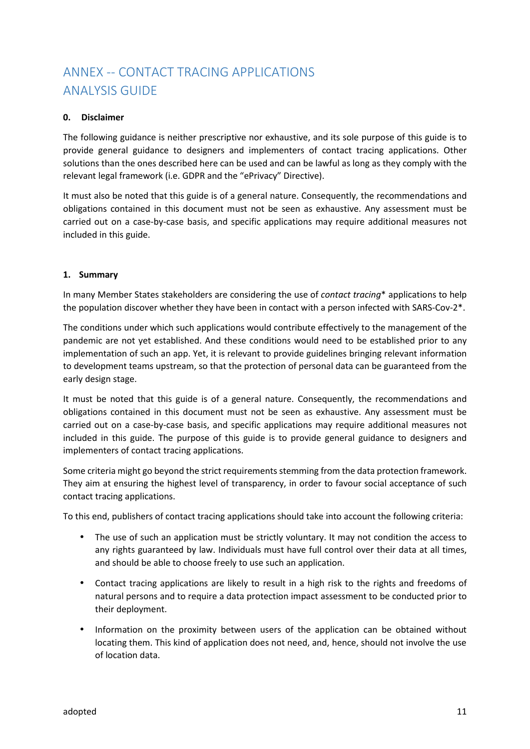# ANNEX -- CONTACT TRACING APPLICATIONS ANALYSIS GUIDE

#### **0. Disclaimer**

The following guidance is neither prescriptive nor exhaustive, and its sole purpose of this guide is to provide general guidance to designers and implementers of contact tracing applications. Other solutions than the ones described here can be used and can be lawful as long as they comply with the relevant legal framework (i.e. GDPR and the "ePrivacy" Directive).

It must also be noted that this guide is of a general nature. Consequently, the recommendations and obligations contained in this document must not be seen as exhaustive. Any assessment must be carried out on a case-by-case basis, and specific applications may require additional measures not included in this guide.

#### **1. Summary**

In many Member States stakeholders are considering the use of *contact tracing*\* applications to help the population discover whether they have been in contact with a person infected with SARS-Cov-2\*.

The conditions under which such applications would contribute effectively to the management of the pandemic are not yet established. And these conditions would need to be established prior to any implementation of such an app. Yet, it is relevant to provide guidelines bringing relevant information to development teams upstream, so that the protection of personal data can be guaranteed from the early design stage.

It must be noted that this guide is of a general nature. Consequently, the recommendations and obligations contained in this document must not be seen as exhaustive. Any assessment must be carried out on a case-by-case basis, and specific applications may require additional measures not included in this guide. The purpose of this guide is to provide general guidance to designers and implementers of contact tracing applications.

Some criteria might go beyond the strict requirements stemming from the data protection framework. They aim at ensuring the highest level of transparency, in order to favour social acceptance of such contact tracing applications.

To this end, publishers of contact tracing applications should take into account the following criteria:

- The use of such an application must be strictly voluntary. It may not condition the access to any rights guaranteed by law. Individuals must have full control over their data at all times, and should be able to choose freely to use such an application.
- Contact tracing applications are likely to result in a high risk to the rights and freedoms of natural persons and to require a data protection impact assessment to be conducted prior to their deployment.
- Information on the proximity between users of the application can be obtained without locating them. This kind of application does not need, and, hence, should not involve the use of location data.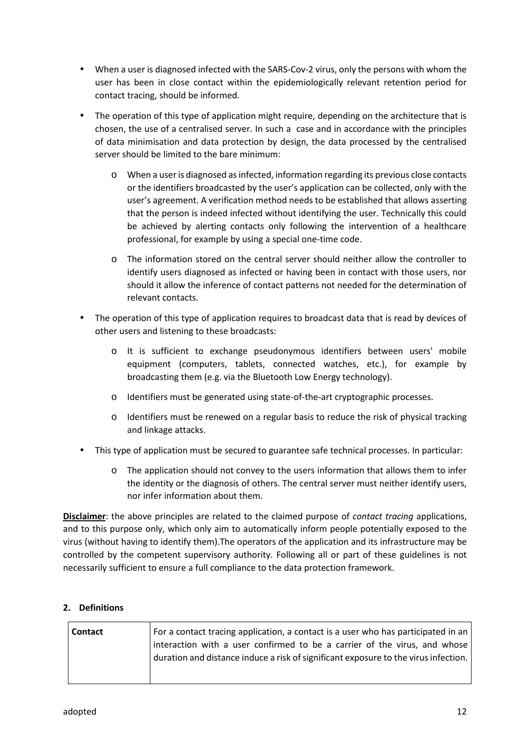- When a user is diagnosed infected with the SARS-Cov-2 virus, only the persons with whom the user has been in close contact within the epidemiologically relevant retention period for contact tracing, should be informed.
- The operation of this type of application might require, depending on the architecture that is chosen, the use of a centralised server. In such a case and in accordance with the principles of data minimisation and data protection by design, the data processed by the centralised server should be limited to the bare minimum:
	- o When a user is diagnosed as infected, information regarding its previous close contacts or the identifiers broadcasted by the user's application can be collected, only with the user's agreement. A verification method needs to be established that allows asserting that the person is indeed infected without identifying the user. Technically this could be achieved by alerting contacts only following the intervention of a healthcare professional, for example by using a special one-time code.
	- $\circ$  The information stored on the central server should neither allow the controller to identify users diagnosed as infected or having been in contact with those users, nor should it allow the inference of contact patterns not needed for the determination of relevant contacts.
- The operation of this type of application requires to broadcast data that is read by devices of other users and listening to these broadcasts:
	- o It is sufficient to exchange pseudonymous identifiers between users' mobile equipment (computers, tablets, connected watches, etc.), for example by broadcasting them (e.g. via the Bluetooth Low Energy technology).
	- o Identifiers must be generated using state-of-the-art cryptographic processes.
	- o Identifiers must be renewed on a regular basis to reduce the risk of physical tracking and linkage attacks.
- This type of application must be secured to guarantee safe technical processes. In particular:
	- o The application should not convey to the users information that allows them to infer the identity or the diagnosis of others. The central server must neither identify users, nor infer information about them.

**Disclaimer**: the above principles are related to the claimed purpose of *contact tracing* applications, and to this purpose only, which only aim to automatically inform people potentially exposed to the virus (without having to identify them).The operators of the application and its infrastructure may be controlled by the competent supervisory authority. Following all or part of these guidelines is not necessarily sufficient to ensure a full compliance to the data protection framework.

## **2. Definitions**

| interaction with a user confirmed to be a carrier of the virus, and whose<br>duration and distance induce a risk of significant exposure to the virus infection. | <b>Contact</b> | For a contact tracing application, a contact is a user who has participated in an |
|------------------------------------------------------------------------------------------------------------------------------------------------------------------|----------------|-----------------------------------------------------------------------------------|
|                                                                                                                                                                  |                |                                                                                   |
|                                                                                                                                                                  |                |                                                                                   |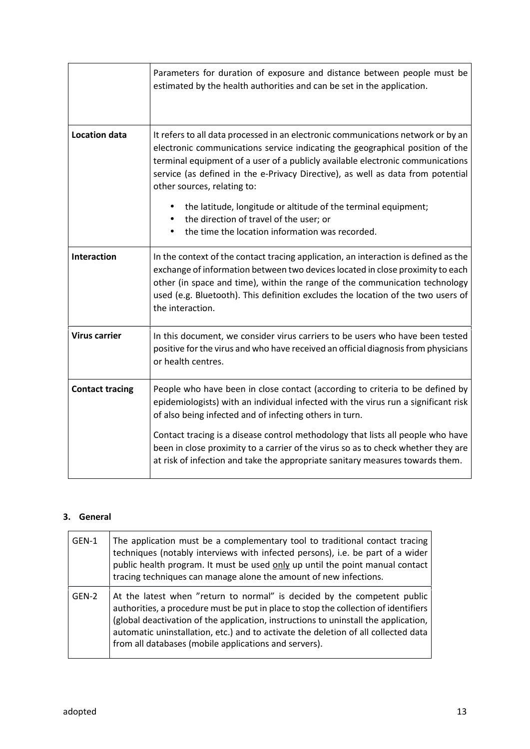|                        | Parameters for duration of exposure and distance between people must be<br>estimated by the health authorities and can be set in the application.                                                                                                                                                                                                                     |
|------------------------|-----------------------------------------------------------------------------------------------------------------------------------------------------------------------------------------------------------------------------------------------------------------------------------------------------------------------------------------------------------------------|
| <b>Location data</b>   | It refers to all data processed in an electronic communications network or by an<br>electronic communications service indicating the geographical position of the<br>terminal equipment of a user of a publicly available electronic communications<br>service (as defined in the e-Privacy Directive), as well as data from potential<br>other sources, relating to: |
|                        | the latitude, longitude or altitude of the terminal equipment;<br>the direction of travel of the user; or<br>the time the location information was recorded.                                                                                                                                                                                                          |
| <b>Interaction</b>     | In the context of the contact tracing application, an interaction is defined as the<br>exchange of information between two devices located in close proximity to each<br>other (in space and time), within the range of the communication technology<br>used (e.g. Bluetooth). This definition excludes the location of the two users of<br>the interaction.          |
| <b>Virus carrier</b>   | In this document, we consider virus carriers to be users who have been tested<br>positive for the virus and who have received an official diagnosis from physicians<br>or health centres.                                                                                                                                                                             |
| <b>Contact tracing</b> | People who have been in close contact (according to criteria to be defined by<br>epidemiologists) with an individual infected with the virus run a significant risk<br>of also being infected and of infecting others in turn.                                                                                                                                        |
|                        | Contact tracing is a disease control methodology that lists all people who have<br>been in close proximity to a carrier of the virus so as to check whether they are<br>at risk of infection and take the appropriate sanitary measures towards them.                                                                                                                 |

## **3. General**

| GEN-1 | The application must be a complementary tool to traditional contact tracing<br>techniques (notably interviews with infected persons), i.e. be part of a wider<br>public health program. It must be used only up until the point manual contact<br>tracing techniques can manage alone the amount of new infections.                                                                                   |
|-------|-------------------------------------------------------------------------------------------------------------------------------------------------------------------------------------------------------------------------------------------------------------------------------------------------------------------------------------------------------------------------------------------------------|
| GEN-2 | At the latest when "return to normal" is decided by the competent public<br>authorities, a procedure must be put in place to stop the collection of identifiers<br>(global deactivation of the application, instructions to uninstall the application,<br>automatic uninstallation, etc.) and to activate the deletion of all collected data<br>from all databases (mobile applications and servers). |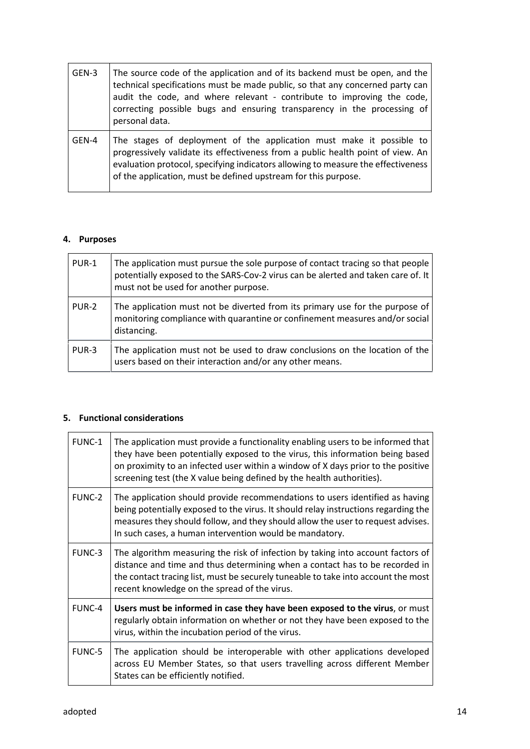| GEN-3 | The source code of the application and of its backend must be open, and the<br>technical specifications must be made public, so that any concerned party can<br>audit the code, and where relevant - contribute to improving the code,<br>correcting possible bugs and ensuring transparency in the processing of<br>personal data. |  |
|-------|-------------------------------------------------------------------------------------------------------------------------------------------------------------------------------------------------------------------------------------------------------------------------------------------------------------------------------------|--|
| GEN-4 | The stages of deployment of the application must make it possible to<br>progressively validate its effectiveness from a public health point of view. An<br>evaluation protocol, specifying indicators allowing to measure the effectiveness<br>of the application, must be defined upstream for this purpose.                       |  |

## **4. Purposes**

| PUR-1 | The application must pursue the sole purpose of contact tracing so that people<br>potentially exposed to the SARS-Cov-2 virus can be alerted and taken care of. It<br>must not be used for another purpose. |
|-------|-------------------------------------------------------------------------------------------------------------------------------------------------------------------------------------------------------------|
| PUR-2 | The application must not be diverted from its primary use for the purpose of<br>monitoring compliance with quarantine or confinement measures and/or social<br>distancing.                                  |
| PUR-3 | The application must not be used to draw conclusions on the location of the<br>users based on their interaction and/or any other means.                                                                     |

## **5. Functional considerations**

| FUNC-1 | The application must provide a functionality enabling users to be informed that<br>they have been potentially exposed to the virus, this information being based<br>on proximity to an infected user within a window of X days prior to the positive<br>screening test (the X value being defined by the health authorities). |
|--------|-------------------------------------------------------------------------------------------------------------------------------------------------------------------------------------------------------------------------------------------------------------------------------------------------------------------------------|
| FUNC-2 | The application should provide recommendations to users identified as having<br>being potentially exposed to the virus. It should relay instructions regarding the<br>measures they should follow, and they should allow the user to request advises.<br>In such cases, a human intervention would be mandatory.              |
| FUNC-3 | The algorithm measuring the risk of infection by taking into account factors of<br>distance and time and thus determining when a contact has to be recorded in<br>the contact tracing list, must be securely tuneable to take into account the most<br>recent knowledge on the spread of the virus.                           |
| FUNC-4 | Users must be informed in case they have been exposed to the virus, or must<br>regularly obtain information on whether or not they have been exposed to the<br>virus, within the incubation period of the virus.                                                                                                              |
| FUNC-5 | The application should be interoperable with other applications developed<br>across EU Member States, so that users travelling across different Member<br>States can be efficiently notified.                                                                                                                                 |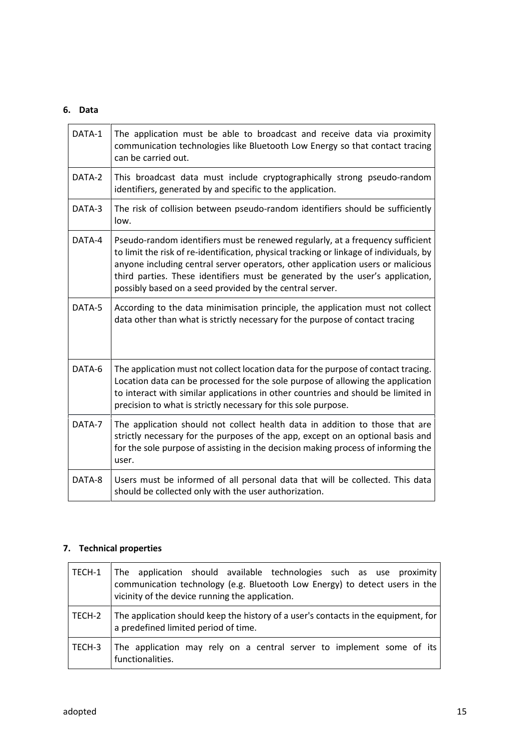## **6. Data**

| DATA-1 | The application must be able to broadcast and receive data via proximity<br>communication technologies like Bluetooth Low Energy so that contact tracing<br>can be carried out.                                                                                                                                                                                                                           |
|--------|-----------------------------------------------------------------------------------------------------------------------------------------------------------------------------------------------------------------------------------------------------------------------------------------------------------------------------------------------------------------------------------------------------------|
| DATA-2 | This broadcast data must include cryptographically strong pseudo-random<br>identifiers, generated by and specific to the application.                                                                                                                                                                                                                                                                     |
| DATA-3 | The risk of collision between pseudo-random identifiers should be sufficiently<br>low.                                                                                                                                                                                                                                                                                                                    |
| DATA-4 | Pseudo-random identifiers must be renewed regularly, at a frequency sufficient<br>to limit the risk of re-identification, physical tracking or linkage of individuals, by<br>anyone including central server operators, other application users or malicious<br>third parties. These identifiers must be generated by the user's application,<br>possibly based on a seed provided by the central server. |
| DATA-5 | According to the data minimisation principle, the application must not collect<br>data other than what is strictly necessary for the purpose of contact tracing                                                                                                                                                                                                                                           |
| DATA-6 | The application must not collect location data for the purpose of contact tracing.<br>Location data can be processed for the sole purpose of allowing the application<br>to interact with similar applications in other countries and should be limited in<br>precision to what is strictly necessary for this sole purpose.                                                                              |
| DATA-7 | The application should not collect health data in addition to those that are<br>strictly necessary for the purposes of the app, except on an optional basis and<br>for the sole purpose of assisting in the decision making process of informing the<br>user.                                                                                                                                             |
| DATA-8 | Users must be informed of all personal data that will be collected. This data<br>should be collected only with the user authorization.                                                                                                                                                                                                                                                                    |

## **7. Technical properties**

| TECH-1 | The application should available technologies such as use proximity<br>communication technology (e.g. Bluetooth Low Energy) to detect users in the<br>vicinity of the device running the application. |
|--------|-------------------------------------------------------------------------------------------------------------------------------------------------------------------------------------------------------|
| TECH-2 | The application should keep the history of a user's contacts in the equipment, for<br>a predefined limited period of time.                                                                            |
| TECH-3 | The application may rely on a central server to implement some of its<br>functionalities.                                                                                                             |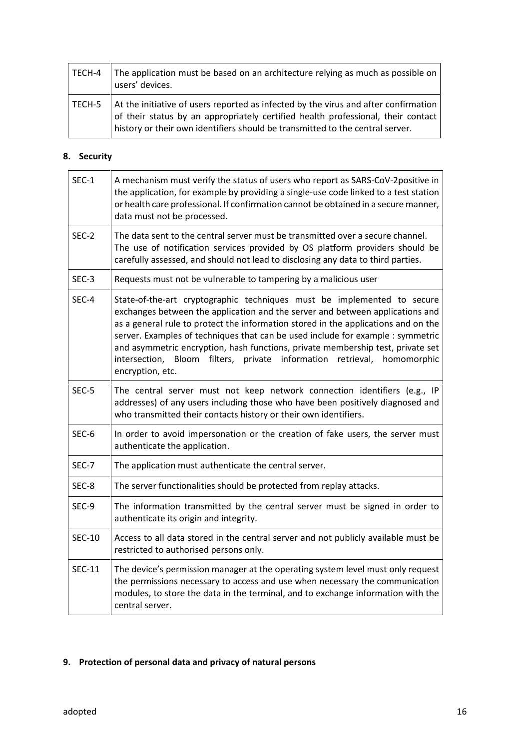| TECH-4 | The application must be based on an architecture relying as much as possible on<br>users' devices.                                                                                                                                                       |
|--------|----------------------------------------------------------------------------------------------------------------------------------------------------------------------------------------------------------------------------------------------------------|
| TECH-5 | At the initiative of users reported as infected by the virus and after confirmation<br>of their status by an appropriately certified health professional, their contact<br>history or their own identifiers should be transmitted to the central server. |

## **8. Security**

| $SEC-1$       | A mechanism must verify the status of users who report as SARS-CoV-2positive in<br>the application, for example by providing a single-use code linked to a test station<br>or health care professional. If confirmation cannot be obtained in a secure manner,<br>data must not be processed.                                                                                                                                                                                                                          |
|---------------|------------------------------------------------------------------------------------------------------------------------------------------------------------------------------------------------------------------------------------------------------------------------------------------------------------------------------------------------------------------------------------------------------------------------------------------------------------------------------------------------------------------------|
| SEC-2         | The data sent to the central server must be transmitted over a secure channel.<br>The use of notification services provided by OS platform providers should be<br>carefully assessed, and should not lead to disclosing any data to third parties.                                                                                                                                                                                                                                                                     |
| $SEC-3$       | Requests must not be vulnerable to tampering by a malicious user                                                                                                                                                                                                                                                                                                                                                                                                                                                       |
| SEC-4         | State-of-the-art cryptographic techniques must be implemented to secure<br>exchanges between the application and the server and between applications and<br>as a general rule to protect the information stored in the applications and on the<br>server. Examples of techniques that can be used include for example : symmetric<br>and asymmetric encryption, hash functions, private membership test, private set<br>intersection, Bloom filters, private information retrieval,<br>homomorphic<br>encryption, etc. |
| SEC-5         | The central server must not keep network connection identifiers (e.g., IP<br>addresses) of any users including those who have been positively diagnosed and<br>who transmitted their contacts history or their own identifiers.                                                                                                                                                                                                                                                                                        |
| SEC-6         | In order to avoid impersonation or the creation of fake users, the server must<br>authenticate the application.                                                                                                                                                                                                                                                                                                                                                                                                        |
| SEC-7         | The application must authenticate the central server.                                                                                                                                                                                                                                                                                                                                                                                                                                                                  |
| SEC-8         | The server functionalities should be protected from replay attacks.                                                                                                                                                                                                                                                                                                                                                                                                                                                    |
| SEC-9         | The information transmitted by the central server must be signed in order to<br>authenticate its origin and integrity.                                                                                                                                                                                                                                                                                                                                                                                                 |
| <b>SEC-10</b> | Access to all data stored in the central server and not publicly available must be<br>restricted to authorised persons only.                                                                                                                                                                                                                                                                                                                                                                                           |
| <b>SEC-11</b> | The device's permission manager at the operating system level must only request<br>the permissions necessary to access and use when necessary the communication<br>modules, to store the data in the terminal, and to exchange information with the<br>central server.                                                                                                                                                                                                                                                 |
|               |                                                                                                                                                                                                                                                                                                                                                                                                                                                                                                                        |

## **9. Protection of personal data and privacy of natural persons**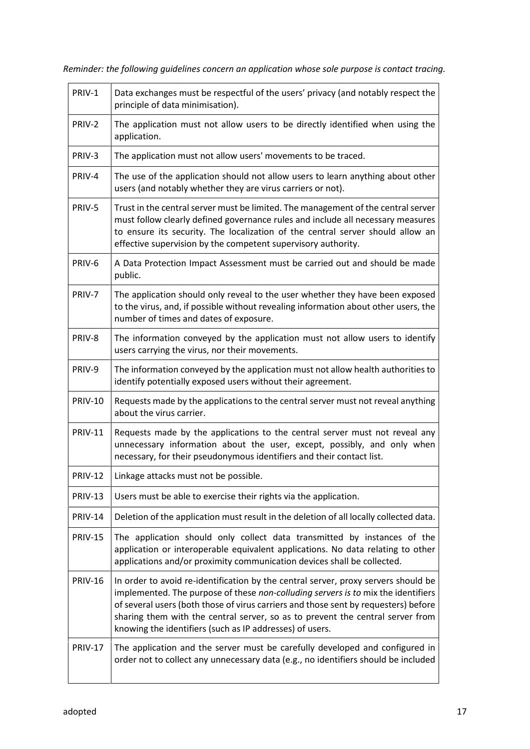*Reminder: the following guidelines concern an application whose sole purpose is contact tracing.*

| PRIV-1         | Data exchanges must be respectful of the users' privacy (and notably respect the<br>principle of data minimisation).                                                                                                                                                                                                                                                                                         |
|----------------|--------------------------------------------------------------------------------------------------------------------------------------------------------------------------------------------------------------------------------------------------------------------------------------------------------------------------------------------------------------------------------------------------------------|
| PRIV-2         | The application must not allow users to be directly identified when using the<br>application.                                                                                                                                                                                                                                                                                                                |
| PRIV-3         | The application must not allow users' movements to be traced.                                                                                                                                                                                                                                                                                                                                                |
| PRIV-4         | The use of the application should not allow users to learn anything about other<br>users (and notably whether they are virus carriers or not).                                                                                                                                                                                                                                                               |
| PRIV-5         | Trust in the central server must be limited. The management of the central server<br>must follow clearly defined governance rules and include all necessary measures<br>to ensure its security. The localization of the central server should allow an<br>effective supervision by the competent supervisory authority.                                                                                      |
| PRIV-6         | A Data Protection Impact Assessment must be carried out and should be made<br>public.                                                                                                                                                                                                                                                                                                                        |
| PRIV-7         | The application should only reveal to the user whether they have been exposed<br>to the virus, and, if possible without revealing information about other users, the<br>number of times and dates of exposure.                                                                                                                                                                                               |
| PRIV-8         | The information conveyed by the application must not allow users to identify<br>users carrying the virus, nor their movements.                                                                                                                                                                                                                                                                               |
| PRIV-9         | The information conveyed by the application must not allow health authorities to<br>identify potentially exposed users without their agreement.                                                                                                                                                                                                                                                              |
| <b>PRIV-10</b> | Requests made by the applications to the central server must not reveal anything<br>about the virus carrier.                                                                                                                                                                                                                                                                                                 |
| <b>PRIV-11</b> | Requests made by the applications to the central server must not reveal any<br>unnecessary information about the user, except, possibly, and only when<br>necessary, for their pseudonymous identifiers and their contact list.                                                                                                                                                                              |
| <b>PRIV-12</b> | Linkage attacks must not be possible.                                                                                                                                                                                                                                                                                                                                                                        |
| <b>PRIV-13</b> | Users must be able to exercise their rights via the application.                                                                                                                                                                                                                                                                                                                                             |
| <b>PRIV-14</b> | Deletion of the application must result in the deletion of all locally collected data.                                                                                                                                                                                                                                                                                                                       |
| <b>PRIV-15</b> | The application should only collect data transmitted by instances of the<br>application or interoperable equivalent applications. No data relating to other<br>applications and/or proximity communication devices shall be collected.                                                                                                                                                                       |
| <b>PRIV-16</b> | In order to avoid re-identification by the central server, proxy servers should be<br>implemented. The purpose of these non-colluding servers is to mix the identifiers<br>of several users (both those of virus carriers and those sent by requesters) before<br>sharing them with the central server, so as to prevent the central server from<br>knowing the identifiers (such as IP addresses) of users. |
| <b>PRIV-17</b> | The application and the server must be carefully developed and configured in<br>order not to collect any unnecessary data (e.g., no identifiers should be included                                                                                                                                                                                                                                           |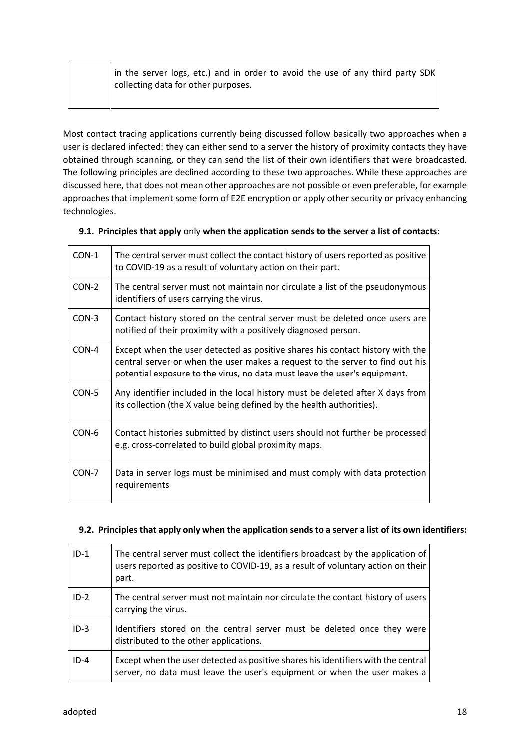| in the server logs, etc.) and in order to avoid the use of any third party SDK |  |
|--------------------------------------------------------------------------------|--|
| collecting data for other purposes.                                            |  |

Most contact tracing applications currently being discussed follow basically two approaches when a user is declared infected: they can either send to a server the history of proximity contacts they have obtained through scanning, or they can send the list of their own identifiers that were broadcasted. The following principles are declined according to these two approaches. While these approaches are discussed here, that does not mean other approaches are not possible or even preferable, for example approaches that implement some form of E2E encryption or apply other security or privacy enhancing technologies.

| 9.1. Principles that apply only when the application sends to the server a list of contacts: |  |
|----------------------------------------------------------------------------------------------|--|
|                                                                                              |  |

| CON-1 | The central server must collect the contact history of users reported as positive<br>to COVID-19 as a result of voluntary action on their part.                                                                                             |  |
|-------|---------------------------------------------------------------------------------------------------------------------------------------------------------------------------------------------------------------------------------------------|--|
| CON-2 | The central server must not maintain nor circulate a list of the pseudonymous<br>identifiers of users carrying the virus.                                                                                                                   |  |
| CON-3 | Contact history stored on the central server must be deleted once users are<br>notified of their proximity with a positively diagnosed person.                                                                                              |  |
| CON-4 | Except when the user detected as positive shares his contact history with the<br>central server or when the user makes a request to the server to find out his<br>potential exposure to the virus, no data must leave the user's equipment. |  |
| CON-5 | Any identifier included in the local history must be deleted after X days from<br>its collection (the X value being defined by the health authorities).                                                                                     |  |
| CON-6 | Contact histories submitted by distinct users should not further be processed<br>e.g. cross-correlated to build global proximity maps.                                                                                                      |  |
| CON-7 | Data in server logs must be minimised and must comply with data protection<br>requirements                                                                                                                                                  |  |

## **9.2. Principles that apply only when the application sends to a server a list of its own identifiers:**

| $ID-1$   | The central server must collect the identifiers broadcast by the application of<br>users reported as positive to COVID-19, as a result of voluntary action on their<br>part. |
|----------|------------------------------------------------------------------------------------------------------------------------------------------------------------------------------|
| $ID-2$   | The central server must not maintain nor circulate the contact history of users<br>carrying the virus.                                                                       |
| $ID-3$   | Identifiers stored on the central server must be deleted once they were<br>distributed to the other applications.                                                            |
| $ID - 4$ | Except when the user detected as positive shares his identifiers with the central<br>server, no data must leave the user's equipment or when the user makes a                |